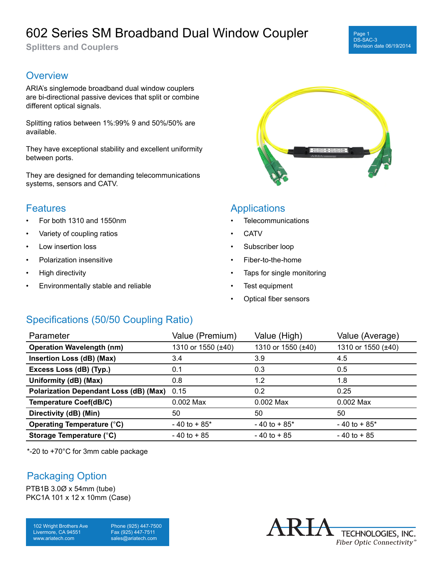# 602 Series SM Broadband Dual Window Coupler

**Splitters and Couplers**

### **Overview**

ARIA's singlemode broadband dual window couplers are bi-directional passive devices that split or combine different optical signals.

Splitting ratios between 1%:99% 9 and 50%/50% are available.

They have exceptional stability and excellent uniformity between ports.

They are designed for demanding telecommunications systems, sensors and CATV.

#### **Features**

- For both 1310 and 1550nm
- Variety of coupling ratios
- Low insertion loss
- Polarization insensitive
- High directivity
- Environmentally stable and reliable



### **Applications**

- **Telecommunications**
- CATV
- Subscriber loop
- Fiber-to-the-home
- Taps for single monitoring
- Test equipment
- Optical fiber sensors

# Specifications (50/50 Coupling Ratio)

| Parameter                                     | Value (Premium)    | Value (High)       | Value (Average)    |
|-----------------------------------------------|--------------------|--------------------|--------------------|
| <b>Operation Wavelength (nm)</b>              | 1310 or 1550 (±40) | 1310 or 1550 (±40) | 1310 or 1550 (±40) |
| Insertion Loss (dB) (Max)                     | 3.4                | 3.9                | 4.5                |
| Excess Loss (dB) (Typ.)                       | 0.1                | 0.3                | 0.5                |
| Uniformity (dB) (Max)                         | 0.8                | 1.2                | 1.8                |
| <b>Polarization Dependant Loss (dB) (Max)</b> | 0.15               | 0.2                | 0.25               |
| <b>Temperature Coef(dB/C)</b>                 | $0.002$ Max        | $0.002$ Max        | $0.002$ Max        |
| Directivity (dB) (Min)                        | 50                 | 50                 | 50                 |
| <b>Operating Temperature (°C)</b>             | $-40$ to $+85$ *   | $-40$ to $+85$ *   | $-40$ to $+85$ *   |
| Storage Temperature (°C)                      | $-40$ to $+85$     | $-40$ to $+85$     | $-40$ to $+85$     |

\*-20 to +70°C for 3mm cable package

### Packaging Option

PTB1B 3.0Ø x 54mm (tube) PKC1A 101 x 12 x 10mm (Case)

102 Wright Brothers Ave Livermore, CA 94551 www.ariatech.com

Phone (925) 447-7500 Fax (925) 447-7511 sales@ariatech.com